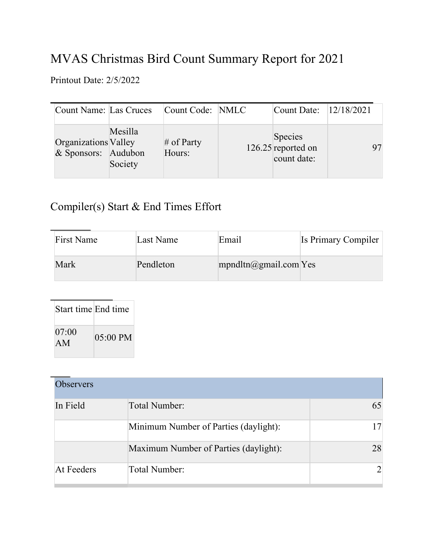## MVAS Christmas Bird Count Summary Report for 2021

Printout Date: 2/5/2022

|                      | Count Name: Las Cruces                    | Count Code: NMLC       | Count Date: 12/18/2021                       |  |
|----------------------|-------------------------------------------|------------------------|----------------------------------------------|--|
| Organizations Valley | Mesilla<br>& Sponsors: Audubon<br>Society | $#$ of Party<br>Hours: | Species<br>126.25 reported on<br>count date: |  |

## Compiler(s) Start & End Times Effort

| <b>First Name</b> | Last Name | Email                    | Is Primary Compiler |
|-------------------|-----------|--------------------------|---------------------|
| Mark              | Pendleton | $m$ pndltn@gmail.com Yes |                     |

| Start time End time |            |
|---------------------|------------|
| 07:00<br>AM         | $05:00$ PM |

| <b>Observers</b> |                                       |    |
|------------------|---------------------------------------|----|
| In Field         | Total Number:                         |    |
|                  | Minimum Number of Parties (daylight): |    |
|                  | Maximum Number of Parties (daylight): | 28 |
| At Feeders       | Total Number:                         |    |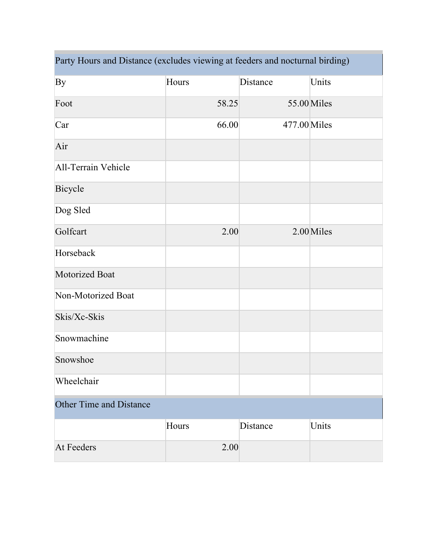| Party Hours and Distance (excludes viewing at feeders and nocturnal birding) |       |              |             |  |  |
|------------------------------------------------------------------------------|-------|--------------|-------------|--|--|
| By                                                                           | Hours | Distance     | Units       |  |  |
| Foot                                                                         | 58.25 |              | 55.00 Miles |  |  |
| Car                                                                          | 66.00 | 477.00 Miles |             |  |  |
| Air                                                                          |       |              |             |  |  |
| All-Terrain Vehicle                                                          |       |              |             |  |  |
| Bicycle                                                                      |       |              |             |  |  |
| Dog Sled                                                                     |       |              |             |  |  |
| Golfcart                                                                     | 2.00  |              | 2.00 Miles  |  |  |
| Horseback                                                                    |       |              |             |  |  |
| Motorized Boat                                                               |       |              |             |  |  |
| Non-Motorized Boat                                                           |       |              |             |  |  |
| Skis/Xc-Skis                                                                 |       |              |             |  |  |
| Snowmachine                                                                  |       |              |             |  |  |
| Snowshoe                                                                     |       |              |             |  |  |
| Wheelchair                                                                   |       |              |             |  |  |
| <b>Other Time and Distance</b>                                               |       |              |             |  |  |
|                                                                              | Hours | Distance     | Units       |  |  |
| <b>At Feeders</b>                                                            | 2.00  |              |             |  |  |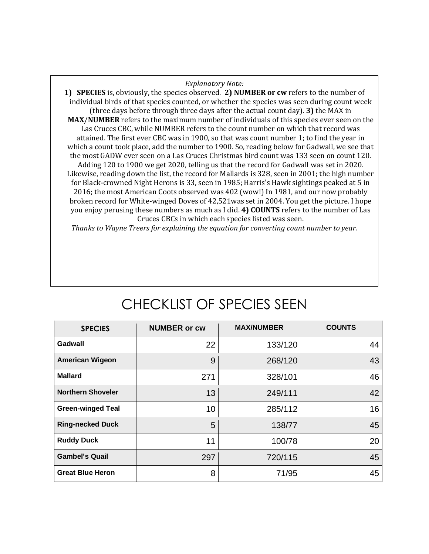## *Explanatory Note:*

**1) SPECIES** is, obviously, the species observed. **2) NUMBER or cw** refers to the number of individual birds of that species counted, or whether the species was seen during count week (three days before through three days after the actual count day). **3)** the MAX in **MAX**/**NUMBER** refers to the maximum number of individuals of this species ever seen on the Las Cruces CBC, while NUMBER refers to the count number on which that record was attained. The first ever CBC was in 1900, so that was count number 1; to find the year in which a count took place, add the number to 1900. So, reading below for Gadwall, we see that the most GADW ever seen on a Las Cruces Christmas bird count was 133 seen on count 120. Adding 120 to 1900 we get 2020, telling us that the record for Gadwall was set in 2020. Likewise, reading down the list, the record for Mallards is 328, seen in 2001; the high number for Black-crowned Night Herons is 33, seen in 1985; Harris's Hawk sightings peaked at 5 in 2016; the most American Coots observed was 402 (wow!) In 1981, and our now probably broken record for White-winged Doves of 42,521was set in 2004. You get the picture. I hope you enjoy perusing these numbers as much as I did. **4) COUNTS** refers to the number of Las Cruces CBCs in which each species listed was seen.

*Thanks to Wayne Treers for explaining the equation for converting count number to year.*

| <b>SPECIES</b>           | <b>NUMBER or cw</b> | <b>MAX/NUMBER</b> | <b>COUNTS</b> |
|--------------------------|---------------------|-------------------|---------------|
| Gadwall                  | 22                  | 133/120           | 44            |
| <b>American Wigeon</b>   | 9                   | 268/120           | 43            |
| <b>Mallard</b>           | 271                 | 328/101           | 46            |
| <b>Northern Shoveler</b> | 13                  | 249/111           | 42            |
| <b>Green-winged Teal</b> | 10                  | 285/112           | 16            |
| <b>Ring-necked Duck</b>  | 5                   | 138/77            | 45            |
| <b>Ruddy Duck</b>        | 11                  | 100/78            | 20            |
| <b>Gambel's Quail</b>    | 297                 | 720/115           | 45            |
| <b>Great Blue Heron</b>  | 8                   | 71/95             | 45            |

## CHECKLIST OF SPECIES SEEN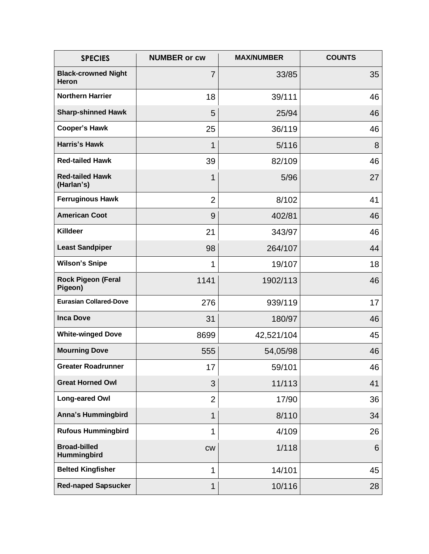| <b>SPECIES</b>                       | <b>NUMBER or cw</b> | <b>MAX/NUMBER</b> | <b>COUNTS</b> |
|--------------------------------------|---------------------|-------------------|---------------|
| <b>Black-crowned Night</b><br>Heron  | $\overline{7}$      | 33/85             | 35            |
| <b>Northern Harrier</b>              | 18                  | 39/111            | 46            |
| <b>Sharp-shinned Hawk</b>            | 5                   | 25/94             | 46            |
| <b>Cooper's Hawk</b>                 | 25                  | 36/119            | 46            |
| <b>Harris's Hawk</b>                 | 1                   | 5/116             | 8             |
| <b>Red-tailed Hawk</b>               | 39                  | 82/109            | 46            |
| <b>Red-tailed Hawk</b><br>(Harlan's) | 1                   | 5/96              | 27            |
| <b>Ferruginous Hawk</b>              | $\overline{2}$      | 8/102             | 41            |
| <b>American Coot</b>                 | 9                   | 402/81            | 46            |
| <b>Killdeer</b>                      | 21                  | 343/97            | 46            |
| <b>Least Sandpiper</b>               | 98                  | 264/107           | 44            |
| <b>Wilson's Snipe</b>                | 1                   | 19/107            | 18            |
| <b>Rock Pigeon (Feral</b><br>Pigeon) | 1141                | 1902/113          | 46            |
| <b>Eurasian Collared-Dove</b>        | 276                 | 939/119           | 17            |
| <b>Inca Dove</b>                     | 31                  | 180/97            | 46            |
| <b>White-winged Dove</b>             | 8699                | 42,521/104        | 45            |
| <b>Mourning Dove</b>                 | 555                 | 54,05/98          | 46            |
| <b>Greater Roadrunner</b>            | 17                  | 59/101            | 46            |
| <b>Great Horned Owl</b>              | 3                   | 11/113            | 41            |
| Long-eared Owl                       | $\overline{2}$      | 17/90             | 36            |
| <b>Anna's Hummingbird</b>            | 1                   | 8/110             | 34            |
| <b>Rufous Hummingbird</b>            | 1                   | 4/109             | 26            |
| <b>Broad-billed</b><br>Hummingbird   | CW                  | 1/118             | 6             |
| <b>Belted Kingfisher</b>             | 1                   | 14/101            | 45            |
| <b>Red-naped Sapsucker</b>           | 1                   | 10/116            | 28            |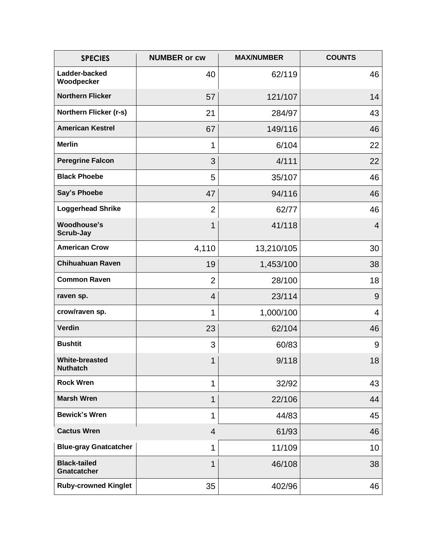| <b>SPECIES</b>                            | <b>NUMBER or cw</b> | <b>MAX/NUMBER</b> | <b>COUNTS</b> |
|-------------------------------------------|---------------------|-------------------|---------------|
| Ladder-backed<br>Woodpecker               | 40                  | 62/119            | 46            |
| <b>Northern Flicker</b>                   | 57                  | 121/107           | 14            |
| Northern Flicker (r-s)                    | 21                  | 284/97            | 43            |
| <b>American Kestrel</b>                   | 67                  | 149/116           | 46            |
| <b>Merlin</b>                             | 1                   | 6/104             | 22            |
| <b>Peregrine Falcon</b>                   | 3                   | 4/111             | 22            |
| <b>Black Phoebe</b>                       | 5                   | 35/107            | 46            |
| <b>Say's Phoebe</b>                       | 47                  | 94/116            | 46            |
| <b>Loggerhead Shrike</b>                  | $\overline{2}$      | 62/77             | 46            |
| <b>Woodhouse's</b><br>Scrub-Jay           | 1                   | 41/118            | 4             |
| <b>American Crow</b>                      | 4,110               | 13,210/105        | 30            |
| <b>Chihuahuan Raven</b>                   | 19                  | 1,453/100         | 38            |
| <b>Common Raven</b>                       | $\overline{2}$      | 28/100            | 18            |
| raven sp.                                 | $\overline{4}$      | 23/114            | 9             |
| crow/raven sp.                            | 1                   | 1,000/100         | 4             |
| Verdin                                    | 23                  | 62/104            | 46            |
| <b>Bushtit</b>                            | 3                   | 60/83             | 9             |
| <b>White-breasted</b><br><b>Nuthatch</b>  | 1                   | 9/118             | 18            |
| <b>Rock Wren</b>                          | 1                   | 32/92             | 43            |
| <b>Marsh Wren</b>                         | 1                   | 22/106            | 44            |
| <b>Bewick's Wren</b>                      | 1                   | 44/83             | 45            |
| <b>Cactus Wren</b>                        | $\overline{4}$      | 61/93             | 46            |
| <b>Blue-gray Gnatcatcher</b>              | 1                   | 11/109            | 10            |
| <b>Black-tailed</b><br><b>Gnatcatcher</b> | 1                   | 46/108            | 38            |
| <b>Ruby-crowned Kinglet</b>               | 35                  | 402/96            | 46            |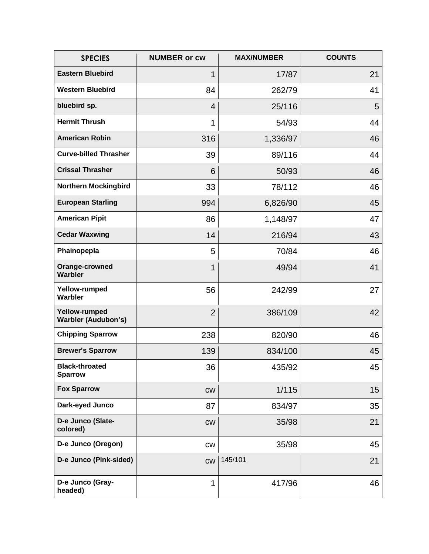| <b>SPECIES</b>                              | <b>NUMBER or cw</b> | <b>MAX/NUMBER</b> | <b>COUNTS</b> |
|---------------------------------------------|---------------------|-------------------|---------------|
| <b>Eastern Bluebird</b>                     | 1                   | 17/87             | 21            |
| <b>Western Bluebird</b>                     | 84                  | 262/79            | 41            |
| bluebird sp.                                | 4                   | 25/116            | 5             |
| <b>Hermit Thrush</b>                        | 1                   | 54/93             | 44            |
| <b>American Robin</b>                       | 316                 | 1,336/97          | 46            |
| <b>Curve-billed Thrasher</b>                | 39                  | 89/116            | 44            |
| <b>Crissal Thrasher</b>                     | 6                   | 50/93             | 46            |
| <b>Northern Mockingbird</b>                 | 33                  | 78/112            | 46            |
| <b>European Starling</b>                    | 994                 | 6,826/90          | 45            |
| <b>American Pipit</b>                       | 86                  | 1,148/97          | 47            |
| <b>Cedar Waxwing</b>                        | 14                  | 216/94            | 43            |
| Phainopepla                                 | 5                   | 70/84             | 46            |
| Orange-crowned<br>Warbler                   | 1                   | 49/94             | 41            |
| Yellow-rumped<br>Warbler                    | 56                  | 242/99            | 27            |
| Yellow-rumped<br><b>Warbler (Audubon's)</b> | $\overline{2}$      | 386/109           | 42            |
| <b>Chipping Sparrow</b>                     | 238                 | 820/90            | 46            |
| <b>Brewer's Sparrow</b>                     | 139                 | 834/100           | 45            |
| <b>Black-throated</b><br><b>Sparrow</b>     | 36                  | 435/92            | 45            |
| <b>Fox Sparrow</b>                          | cw                  | 1/115             | 15            |
| Dark-eyed Junco                             | 87                  | 834/97            | 35            |
| D-e Junco (Slate-<br>colored)               | cw                  | 35/98             | 21            |
| D-e Junco (Oregon)                          | <b>CW</b>           | 35/98             | 45            |
| D-e Junco (Pink-sided)                      | cw                  | 145/101           | 21            |
| D-e Junco (Gray-<br>headed)                 | 1                   | 417/96            | 46            |